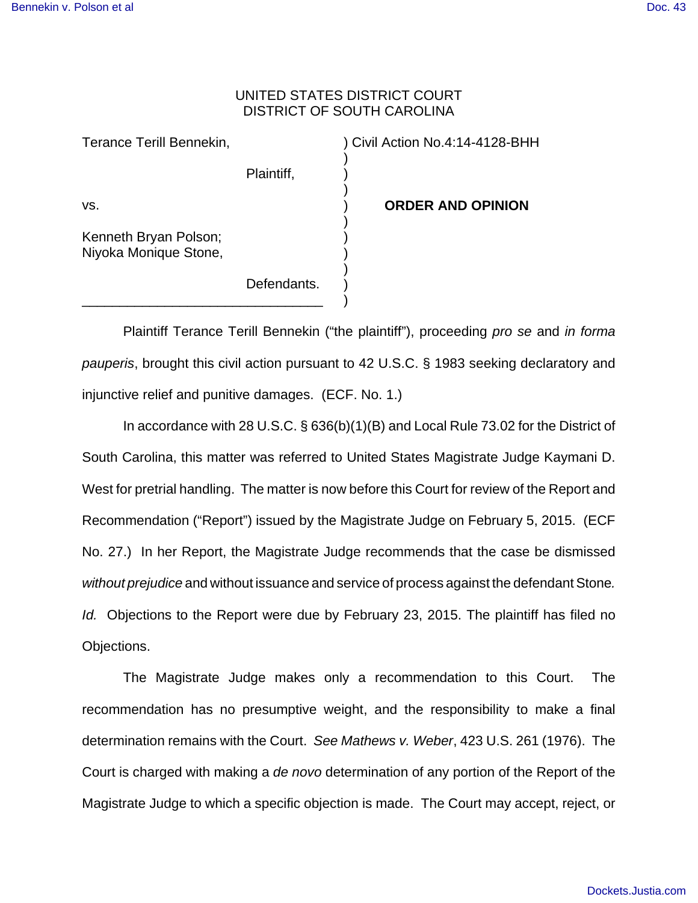## UNITED STATES DISTRICT COURT DISTRICT OF SOUTH CAROLINA

) ) )

) ) ) ) ) )

| Terance Terill Bennekin,                       |             |
|------------------------------------------------|-------------|
|                                                | Plaintiff,  |
| VS.                                            |             |
| Kenneth Bryan Polson;<br>Niyoka Monique Stone, |             |
|                                                | Defendants. |

) Civil Action No.4:14-4128-BHH

) **ORDER AND OPINION**

Plaintiff Terance Terill Bennekin ("the plaintiff"), proceeding *pro se* and *in forma pauperis*, brought this civil action pursuant to 42 U.S.C. § 1983 seeking declaratory and injunctive relief and punitive damages. (ECF. No. 1.)

In accordance with 28 U.S.C. § 636(b)(1)(B) and Local Rule 73.02 for the District of South Carolina, this matter was referred to United States Magistrate Judge Kaymani D. West for pretrial handling. The matter is now before this Court for review of the Report and Recommendation ("Report") issued by the Magistrate Judge on February 5, 2015. (ECF No. 27.) In her Report, the Magistrate Judge recommends that the case be dismissed *without prejudice* and without issuance and service of process against the defendant Stone*. Id.* Objections to the Report were due by February 23, 2015. The plaintiff has filed no Objections.

The Magistrate Judge makes only a recommendation to this Court. The recommendation has no presumptive weight, and the responsibility to make a final determination remains with the Court. *See Mathews v. Weber*, 423 U.S. 261 (1976). The Court is charged with making a *de novo* determination of any portion of the Report of the Magistrate Judge to which a specific objection is made. The Court may accept, reject, or